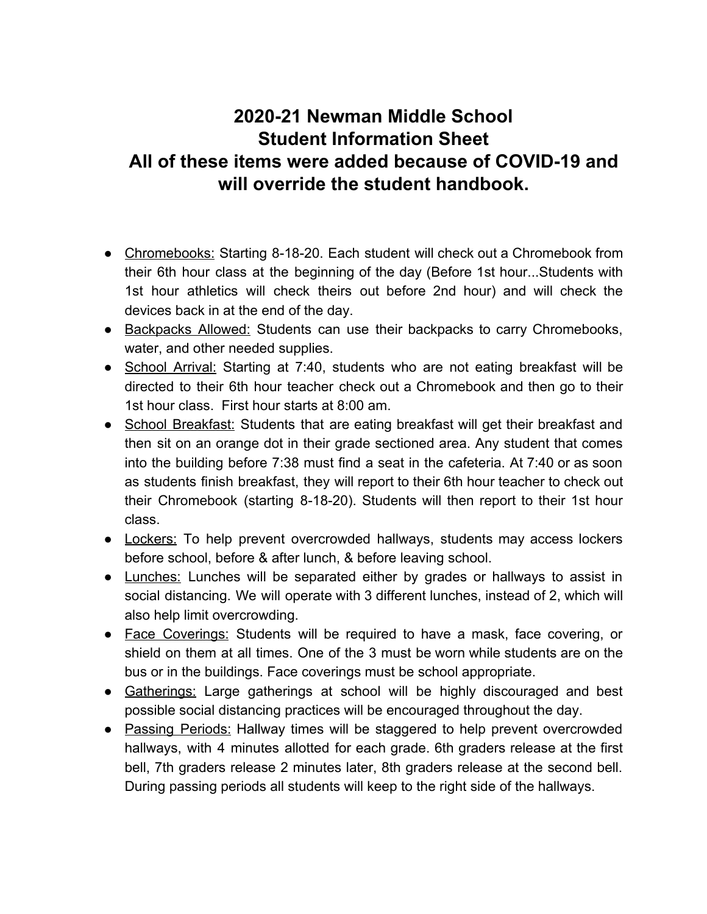## **2020-21 Newman Middle School Student Information Sheet All of these items were added because of COVID-19 and will override the student handbook.**

- Chromebooks: Starting 8-18-20. Each student will check out a Chromebook from their 6th hour class at the beginning of the day (Before 1st hour...Students with 1st hour athletics will check theirs out before 2nd hour) and will check the devices back in at the end of the day.
- Backpacks Allowed: Students can use their backpacks to carry Chromebooks, water, and other needed supplies.
- School Arrival: Starting at 7:40, students who are not eating breakfast will be directed to their 6th hour teacher check out a Chromebook and then go to their 1st hour class. First hour starts at 8:00 am.
- School Breakfast: Students that are eating breakfast will get their breakfast and then sit on an orange dot in their grade sectioned area. Any student that comes into the building before 7:38 must find a seat in the cafeteria. At 7:40 or as soon as students finish breakfast, they will report to their 6th hour teacher to check out their Chromebook (starting 8-18-20). Students will then report to their 1st hour class.
- Lockers: To help prevent overcrowded hallways, students may access lockers before school, before & after lunch, & before leaving school.
- Lunches: Lunches will be separated either by grades or hallways to assist in social distancing. We will operate with 3 different lunches, instead of 2, which will also help limit overcrowding.
- Face Coverings: Students will be required to have a mask, face covering, or shield on them at all times. One of the 3 must be worn while students are on the bus or in the buildings. Face coverings must be school appropriate.
- Gatherings: Large gatherings at school will be highly discouraged and best possible social distancing practices will be encouraged throughout the day.
- Passing Periods: Hallway times will be staggered to help prevent overcrowded hallways, with 4 minutes allotted for each grade. 6th graders release at the first bell, 7th graders release 2 minutes later, 8th graders release at the second bell. During passing periods all students will keep to the right side of the hallways.